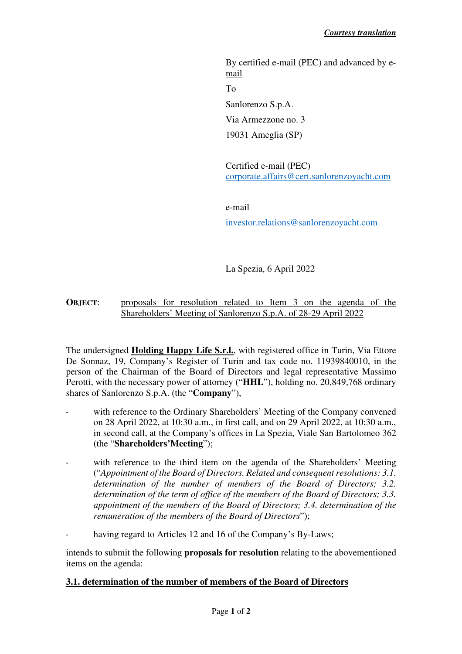By certified e-mail (PEC) and advanced by email To Sanlorenzo S.p.A. Via Armezzone no. 3 19031 Ameglia (SP)

Certified e-mail (PEC) corporate.affairs@cert.sanlorenzoyacht.com

e-mail

investor.relations@sanlorenzoyacht.com

La Spezia, 6 April 2022

## **OBJECT:** proposals for resolution related to Item 3 on the agenda of the Shareholders' Meeting of Sanlorenzo S.p.A. of 28-29 April 2022

The undersigned **Holding Happy Life S.r.l.**, with registered office in Turin, Via Ettore De Sonnaz, 19, Company's Register of Turin and tax code no. 11939840010, in the person of the Chairman of the Board of Directors and legal representative Massimo Perotti, with the necessary power of attorney ("**HHL**"), holding no. 20,849,768 ordinary shares of Sanlorenzo S.p.A. (the "**Company**"),

- with reference to the Ordinary Shareholders' Meeting of the Company convened on 28 April 2022, at 10:30 a.m., in first call, and on 29 April 2022, at 10:30 a.m., in second call, at the Company's offices in La Spezia, Viale San Bartolomeo 362 (the "**Shareholders'Meeting**");
- with reference to the third item on the agenda of the Shareholders' Meeting ("*Appointment of the Board of Directors. Related and consequent resolutions: 3.1. determination of the number of members of the Board of Directors; 3.2. determination of the term of office of the members of the Board of Directors; 3.3. appointment of the members of the Board of Directors; 3.4. determination of the remuneration of the members of the Board of Directors*");
- having regard to Articles 12 and 16 of the Company's By-Laws;

intends to submit the following **proposals for resolution** relating to the abovementioned items on the agenda:

## **3.1. determination of the number of members of the Board of Directors**